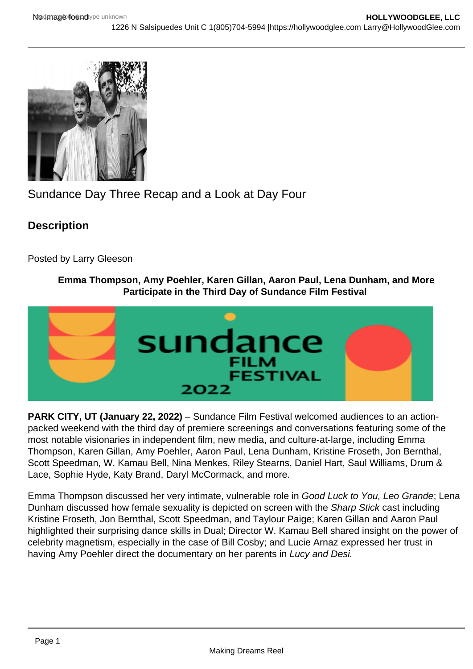# Sundance Day Three Recap and a Look at Day Four

**Description** 

Posted by Larry Gleeson

## Emma Thompson, Amy Poehler, Karen Gillan, Aaron Paul, Lena Dunham, and More Participate in the Third Day of Sundance Film Festiv al

PARK CITY, UT (January 22, 2022) – Sundance Film Festival welcomed audiences to an actionpacked weekend with the third day of premiere screenings and conversations featuring some of the most notable visionaries in independent film, new media, and culture-at-large, including Emma Thompson, Karen Gillan, Amy Poehler, Aaron Paul, Lena Dunham, Kristine Froseth, Jon Bernthal, Scott Speedman, W. Kamau Bell, Nina Menkes, Riley Stearns, Daniel Hart, Saul Williams, Drum & Lace, Sophie Hyde, Katy Brand, Daryl McCormack, and more.

Emma Thompson discussed her very intimate, vulnerable role in Good Luck to You, Leo Grande; Lena Dunham discussed how female sexuality is depicted on screen with the Sharp Stick cast including Kristine Froseth, Jon Bernthal, Scott Speedman, and Taylour Paige; Karen Gillan and Aaron Paul highlighted their surprising dance skills in Dual; Director W. Kamau Bell shared insight on the power of celebrity magnetism, especially in the case of Bill Cosby; and Lucie Arnaz expressed her trust in having Amy Poehler direct the documentary on her parents in Lucy and Desi.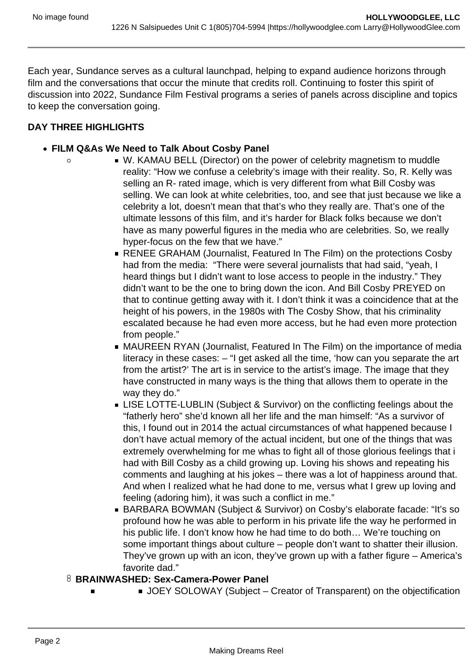Each year, Sundance serves as a cultural launchpad, helping to expand audience horizons through film and the conversations that occur the minute that credits roll. Continuing to foster this spirit of discussion into 2022, Sundance Film Festival programs a series of panels across discipline and topics to keep the conversation going.

## **DAY THREE HIGHLIGHTS**

 $\circ$ 

- **FILM Q&As We Need to Talk About Cosby Panel**
	- W. KAMAU BELL (Director) on the power of celebrity magnetism to muddle reality: "How we confuse a celebrity's image with their reality. So, R. Kelly was selling an R- rated image, which is very different from what Bill Cosby was selling. We can look at white celebrities, too, and see that just because we like a celebrity a lot, doesn't mean that that's who they really are. That's one of the ultimate lessons of this film, and it's harder for Black folks because we don't have as many powerful figures in the media who are celebrities. So, we really hyper-focus on the few that we have."
		- RENEE GRAHAM (Journalist, Featured In The Film) on the protections Cosby had from the media: "There were several journalists that had said, "yeah, I heard things but I didn't want to lose access to people in the industry." They didn't want to be the one to bring down the icon. And Bill Cosby PREYED on that to continue getting away with it. I don't think it was a coincidence that at the height of his powers, in the 1980s with The Cosby Show, that his criminality escalated because he had even more access, but he had even more protection from people."
		- MAUREEN RYAN (Journalist, Featured In The Film) on the importance of media literacy in these cases: – "I get asked all the time, 'how can you separate the art from the artist?' The art is in service to the artist's image. The image that they have constructed in many ways is the thing that allows them to operate in the way they do."
		- **EXTE-LUBLIN** (Subject & Survivor) on the conflicting feelings about the "fatherly hero" she'd known all her life and the man himself: "As a survivor of this, I found out in 2014 the actual circumstances of what happened because I don't have actual memory of the actual incident, but one of the things that was extremely overwhelming for me whas to fight all of those glorious feelings that i had with Bill Cosby as a child growing up. Loving his shows and repeating his comments and laughing at his jokes – there was a lot of happiness around that. And when I realized what he had done to me, versus what I grew up loving and feeling (adoring him), it was such a conflict in me."
		- BARBARA BOWMAN (Subject & Survivor) on Cosby's elaborate facade: "It's so profound how he was able to perform in his private life the way he performed in his public life. I don't know how he had time to do both… We're touching on some important things about culture – people don't want to shatter their illusion. They've grown up with an icon, they've grown up with a father figure – America's favorite dad."

#### **BRAINWASHED: Sex-Camera-Power Panel**

JOEY SOLOWAY (Subject – Creator of Transparent) on the objectification

 $\blacksquare$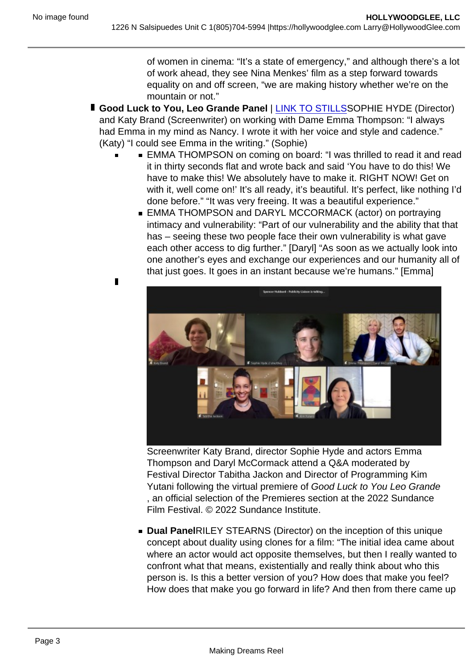$\blacksquare$ 

of women in cinema: "It's a state of emergency," and although there's a lot of work ahead, they see Nina Menkes' film as a step forward towards equality on and off screen, "we are making history whether we're on the mountain or not."

- Good Luck to You, Leo Grande Panel | [LINK TO STILLSS](https://sundance.us10.list-manage.com/track/click?u=d2b7ca60af6d00b0be91a01af&id=beaa6c5571&e=6173c7d5f6)OPHIE HYDE (Director) and Katy Brand (Screenwriter) on working with Dame Emma Thompson: "I always had Emma in my mind as Nancy. I wrote it with her voice and style and cadence." (Katy) "I could see Emma in the writing." (Sophie)
	- EMMA THOMPSON on coming on board: "I was thrilled to read it and read it in thirty seconds flat and wrote back and said 'You have to do this! We have to make this! We absolutely have to make it. RIGHT NOW! Get on with it, well come on!' It's all ready, it's beautiful. It's perfect, like nothing I'd done before." "It was very freeing. It was a beautiful experience."
		- EMMA THOMPSON and DARYL MCCORMACK (actor) on portraying intimacy and vulnerability: "Part of our vulnerability and the ability that that has – seeing these two people face their own vulnerability is what gave each other access to dig further." [Daryl] "As soon as we actually look into one another's eyes and exchange our experiences and our humanity all of that just goes. It goes in an instant because we're humans." [Emma]

Screenwriter Katy Brand, director Sophie Hyde and actors Emma Thompson and Daryl McCormack attend a Q&A moderated by Festival Director Tabitha Jackon and Director of Programming Kim Yutani following the virtual premiere of Good Luck to You Leo Grande , an official selection of the Premieres section at the 2022 Sundance Film Festival. © 2022 Sundance Institute.

Dual PanelRILEY STEARNS (Director) on the inception of this unique concept about duality using clones for a film: "The initial idea came about where an actor would act opposite themselves, but then I really wanted to confront what that means, existentially and really think about who this person is. Is this a better version of you? How does that make you feel? How does that make you go forward in life? And then from there came up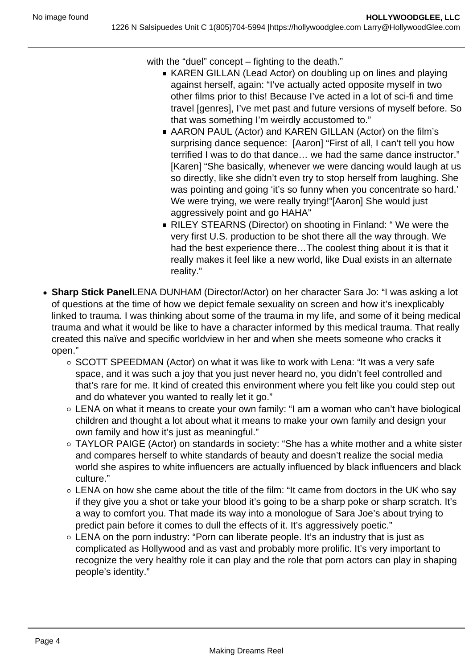with the "duel" concept – fighting to the death."

- KAREN GILLAN (Lead Actor) on doubling up on lines and playing against herself, again: "I've actually acted opposite myself in two other films prior to this! Because I've acted in a lot of sci-fi and time travel [genres], I've met past and future versions of myself before. So that was something I'm weirdly accustomed to."
- AARON PAUL (Actor) and KAREN GILLAN (Actor) on the film's surprising dance sequence: [Aaron] "First of all, I can't tell you how terrified I was to do that dance… we had the same dance instructor." [Karen] "She basically, whenever we were dancing would laugh at us so directly, like she didn't even try to stop herself from laughing. She was pointing and going 'it's so funny when you concentrate so hard.' We were trying, we were really trying!"[Aaron] She would just aggressively point and go HAHA"
- RILEY STEARNS (Director) on shooting in Finland: " We were the very first U.S. production to be shot there all the way through. We had the best experience there…The coolest thing about it is that it really makes it feel like a new world, like Dual exists in an alternate reality."
- **Sharp Stick Panel**LENA DUNHAM (Director/Actor) on her character Sara Jo: "I was asking a lot of questions at the time of how we depict female sexuality on screen and how it's inexplicably linked to trauma. I was thinking about some of the trauma in my life, and some of it being medical trauma and what it would be like to have a character informed by this medical trauma. That really created this naïve and specific worldview in her and when she meets someone who cracks it open."
	- $\circ$  SCOTT SPEEDMAN (Actor) on what it was like to work with Lena: "It was a very safe space, and it was such a joy that you just never heard no, you didn't feel controlled and that's rare for me. It kind of created this environment where you felt like you could step out and do whatever you wanted to really let it go."
	- LENA on what it means to create your own family: "I am a woman who can't have biological children and thought a lot about what it means to make your own family and design your own family and how it's just as meaningful."
	- TAYLOR PAIGE (Actor) on standards in society: "She has a white mother and a white sister and compares herself to white standards of beauty and doesn't realize the social media world she aspires to white influencers are actually influenced by black influencers and black culture."
	- LENA on how she came about the title of the film: "It came from doctors in the UK who say if they give you a shot or take your blood it's going to be a sharp poke or sharp scratch. It's a way to comfort you. That made its way into a monologue of Sara Joe's about trying to predict pain before it comes to dull the effects of it. It's aggressively poetic."
	- LENA on the porn industry: "Porn can liberate people. It's an industry that is just as complicated as Hollywood and as vast and probably more prolific. It's very important to recognize the very healthy role it can play and the role that porn actors can play in shaping people's identity."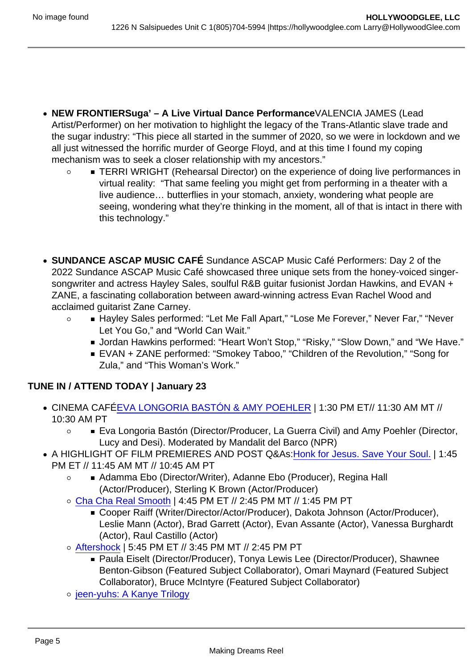$\Omega$ 

- NEW FRONTIERSuga' A Live Virtual Dance Performance VALENCIA JAMES (Lead Artist/Performer) on her motivation to highlight the legacy of the Trans-Atlantic slave trade and the sugar industry: "This piece all started in the summer of 2020, so we were in lockdown and we all just witnessed the horrific murder of George Floyd, and at this time I found my coping mechanism was to seek a closer relationship with my ancestors."
	- TERRI WRIGHT (Rehearsal Director) on the experience of doing live performances in virtual reality: "That same feeling you might get from performing in a theater with a live audience… butterflies in your stomach, anxiety, wondering what people are seeing, wondering what they're thinking in the moment, all of that is intact in there with this technology."
- SUNDANCE ASCAP MUSIC CAFÉ Sundance ASCAP Music Café Performers: Day 2 of the 2022 Sundance ASCAP Music Café showcased three unique sets from the honey-voiced singersongwriter and actress Hayley Sales, soulful R&B guitar fusionist Jordan Hawkins, and EVAN + ZANE, a fascinating collaboration between award-winning actress Evan Rachel Wood and acclaimed guitarist Zane Carney.
	- Hayley Sales performed: "Let Me Fall Apart," "Lose Me Forever," Never Far," "Never  $\circ$ Let You Go," and "World Can Wait."
		- Jordan Hawkins performed: "Heart Won't Stop," "Risky," "Slow Down," and "We Have."
		- EVAN + ZANE performed: "Smokey Taboo," "Children of the Revolution," "Song for Zula," and "This Woman's Work."

## TUNE IN / ATTEND TODAY | January 23

- CINEMA CAF[ÉEVA LONGORIA BASTÓN & AMY POEHLER](https://sundance.us10.list-manage.com/track/click?u=d2b7ca60af6d00b0be91a01af&id=c9c9b70d0f&e=6173c7d5f6) | 1:30 PM ET// 11:30 AM MT // 10:30 AM PT
	- Eva Longoria Bastón (Director/Producer, La Guerra Civil) and Amy Poehler (Director,  $\circ$ Lucy and Desi). Moderated by Mandalit del Barco (NPR)
- A HIGHLIGHT OF FILM PREMIERES AND POST Q&As[:Honk for Jesus. Save Your Soul.](https://sundance.us10.list-manage.com/track/click?u=d2b7ca60af6d00b0be91a01af&id=bf9393dc6e&e=6173c7d5f6) | 1:45 PM ET // 11:45 AM MT // 10:45 AM PT
	- Adamma Ebo (Director/Writer), Adanne Ebo (Producer), Regina Hall  $\Omega$ (Actor/Producer), Sterling K Brown (Actor/Producer)
	- [Cha Cha Real Smooth](https://sundance.us10.list-manage.com/track/click?u=d2b7ca60af6d00b0be91a01af&id=d9a451f34e&e=6173c7d5f6) | 4:45 PM ET // 2:45 PM MT // 1:45 PM PT
		- Cooper Raiff (Writer/Director/Actor/Producer), Dakota Johnson (Actor/Producer), Leslie Mann (Actor), Brad Garrett (Actor), Evan Assante (Actor), Vanessa Burghardt (Actor), Raul Castillo (Actor)
	- [Aftershock](https://sundance.us10.list-manage.com/track/click?u=d2b7ca60af6d00b0be91a01af&id=49f9066475&e=6173c7d5f6) | 5:45 PM ET // 3:45 PM MT // 2:45 PM PT
		- Paula Eiselt (Director/Producer), Tonya Lewis Lee (Director/Producer), Shawnee Benton-Gibson (Featured Subject Collaborator), Omari Maynard (Featured Subject Collaborator), Bruce McIntyre (Featured Subject Collaborator)
	- o [jeen-yuhs: A Kanye Trilogy](https://sundance.us10.list-manage.com/track/click?u=d2b7ca60af6d00b0be91a01af&id=5b21c17871&e=6173c7d5f6)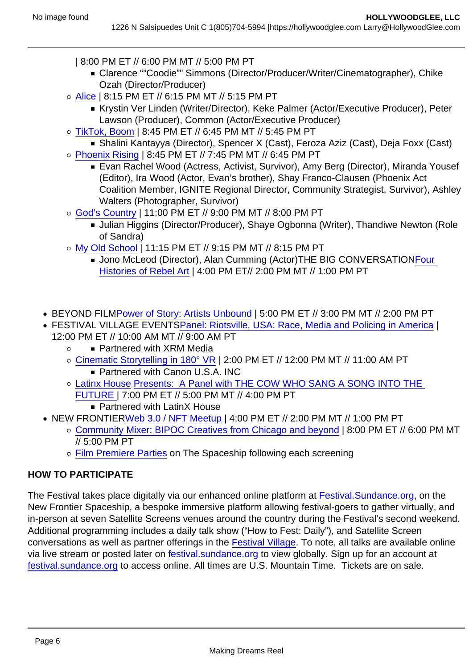- | 8:00 PM ET // 6:00 PM MT // 5:00 PM PT
	- Clarence ""Coodie"" Simmons (Director/Producer/Writer/Cinematographer), Chike Ozah (Director/Producer)
- [Alice](https://sundance.us10.list-manage.com/track/click?u=d2b7ca60af6d00b0be91a01af&id=29ba207341&e=6173c7d5f6) | 8:15 PM ET // 6:15 PM MT // 5:15 PM PT
	- Krystin Ver Linden (Writer/Director), Keke Palmer (Actor/Executive Producer), Peter Lawson (Producer), Common (Actor/Executive Producer)
- [TikTok, Boom](https://sundance.us10.list-manage.com/track/click?u=d2b7ca60af6d00b0be91a01af&id=1ee5b0de16&e=6173c7d5f6) | 8:45 PM ET // 6:45 PM MT // 5:45 PM PT
	- Shalini Kantayya (Director), Spencer X (Cast), Feroza Aziz (Cast), Deja Foxx (Cast)
- [Phoenix Rising](https://sundance.us10.list-manage.com/track/click?u=d2b7ca60af6d00b0be91a01af&id=008ca35f4e&e=6173c7d5f6) | 8:45 PM ET // 7:45 PM MT // 6:45 PM PT
	- Evan Rachel Wood (Actress, Activist, Survivor), Amy Berg (Director), Miranda Yousef (Editor), Ira Wood (Actor, Evan's brother), Shay Franco-Clausen (Phoenix Act Coalition Member, IGNITE Regional Director, Community Strategist, Survivor), Ashley Walters (Photographer, Survivor)
- [God's Country](https://sundance.us10.list-manage.com/track/click?u=d2b7ca60af6d00b0be91a01af&id=39e5514c19&e=6173c7d5f6) | 11:00 PM ET // 9:00 PM MT // 8:00 PM PT
	- Julian Higgins (Director/Producer), Shaye Ogbonna (Writer), Thandiwe Newton (Role of Sandra)
- [My Old School](https://sundance.us10.list-manage.com/track/click?u=d2b7ca60af6d00b0be91a01af&id=c0b60e6a27&e=6173c7d5f6) | 11:15 PM ET // 9:15 PM MT // 8:15 PM PT
	- **Jono McLeod (Director), Alan Cumming (Actor) THE BIG CONVERSATIONFour** [Histories of Rebel Art](https://sundance.us10.list-manage.com/track/click?u=d2b7ca60af6d00b0be91a01af&id=2685f011fe&e=6173c7d5f6) | 4:00 PM ET// 2:00 PM MT // 1:00 PM PT
- BEYOND FIL[MPower of Story: Artists Unbound](https://sundance.us10.list-manage.com/track/click?u=d2b7ca60af6d00b0be91a01af&id=f8e3904900&e=6173c7d5f6) | 5:00 PM ET // 3:00 PM MT // 2:00 PM PT
- FESTIVAL VILLAGE EVENT[SPanel: Riotsville, USA: Race, Media and Policing in America](https://sundance.us10.list-manage.com/track/click?u=d2b7ca60af6d00b0be91a01af&id=c5571db61c&e=6173c7d5f6) | 12:00 PM ET // 10:00 AM MT // 9:00 AM PT
	- Partnered with XRM Media  $\circ$
	- [Cinematic Storytelling in 180° VR](https://sundance.us10.list-manage.com/track/click?u=d2b7ca60af6d00b0be91a01af&id=1d4fcd15a2&e=6173c7d5f6) | 2:00 PM ET // 12:00 PM MT // 11:00 AM PT ■ Partnered with Canon U.S.A. INC
	- [Latinx House](https://sundance.us10.list-manage.com/track/click?u=d2b7ca60af6d00b0be91a01af&id=30318c3df9&e=6173c7d5f6) [Presents: A Panel with THE COW WHO SANG A SONG INTO THE](https://sundance.us10.list-manage.com/track/click?u=d2b7ca60af6d00b0be91a01af&id=b6ee8737b7&e=6173c7d5f6)  [FUTURE |](https://sundance.us10.list-manage.com/track/click?u=d2b7ca60af6d00b0be91a01af&id=b6ee8737b7&e=6173c7d5f6) 7:00 PM ET // 5:00 PM MT // 4:00 PM PT
		- Partnered with LatinX House
- NEW FRONTIER[Web 3.0 / NFT Meetup](https://sundance.us10.list-manage.com/track/click?u=d2b7ca60af6d00b0be91a01af&id=4d088dbe28&e=6173c7d5f6) | 4:00 PM ET // 2:00 PM MT // 1:00 PM PT
	- [Community Mixer: BIPOC Creatives from Chicago and beyond](https://sundance.us10.list-manage.com/track/click?u=d2b7ca60af6d00b0be91a01af&id=c24373c0b9&e=6173c7d5f6) | 8:00 PM ET // 6:00 PM MT // 5:00 PM PT
	- [Film Premiere Parties](https://sundance.us10.list-manage.com/track/click?u=d2b7ca60af6d00b0be91a01af&id=9bf87ed446&e=6173c7d5f6) on The Spaceship following each screening

#### HOW TO PARTICIPATE

The Festival takes place digitally via our enhanced online platform at [Festival.Sundance.org](https://sundance.us10.list-manage.com/track/click?u=d2b7ca60af6d00b0be91a01af&id=ce9a47e5a9&e=6173c7d5f6), on the New Frontier Spaceship, a bespoke immersive platform allowing festival-goers to gather virtually, and in-person at seven Satellite Screens venues around the country during the Festival's second weekend. Additional programming includes a daily talk show ("How to Fest: Daily"), and Satellite Screen conversations as well as partner offerings in the [Festival Village](https://sundance.us10.list-manage.com/track/click?u=d2b7ca60af6d00b0be91a01af&id=9d3198e3f3&e=6173c7d5f6). To note, all talks are available online via live stream or posted later on [festival.sundance.org](https://sundance.us10.list-manage.com/track/click?u=d2b7ca60af6d00b0be91a01af&id=67cb1418e7&e=6173c7d5f6) to view globally. Sign up for an account at [festival.sundance.org](https://sundance.us10.list-manage.com/track/click?u=d2b7ca60af6d00b0be91a01af&id=ec85c3d53c&e=6173c7d5f6) to access online. All times are U.S. Mountain Time. Tickets are on sale.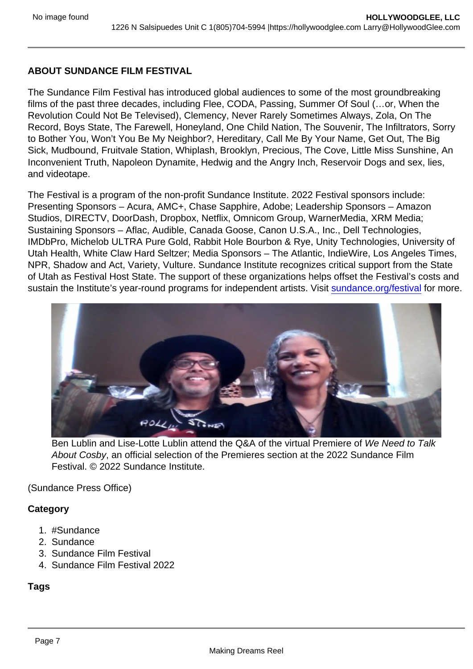### ABOUT SUNDANCE FILM FESTIVAL

The Sundance Film Festival has introduced global audiences to some of the most groundbreaking films of the past three decades, including Flee, CODA, Passing, Summer Of Soul (…or, When the Revolution Could Not Be Televised), Clemency, Never Rarely Sometimes Always, Zola, On The Record, Boys State, The Farewell, Honeyland, One Child Nation, The Souvenir, The Infiltrators, Sorry to Bother You, Won't You Be My Neighbor?, Hereditary, Call Me By Your Name, Get Out, The Big Sick, Mudbound, Fruitvale Station, Whiplash, Brooklyn, Precious, The Cove, Little Miss Sunshine, An Inconvenient Truth, Napoleon Dynamite, Hedwig and the Angry Inch, Reservoir Dogs and sex, lies, and videotape.

The Festival is a program of the non-profit Sundance Institute. 2022 Festival sponsors include: Presenting Sponsors – Acura, AMC+, Chase Sapphire, Adobe; Leadership Sponsors – Amazon Studios, DIRECTV, DoorDash, Dropbox, Netflix, Omnicom Group, WarnerMedia, XRM Media; Sustaining Sponsors – Aflac, Audible, Canada Goose, Canon U.S.A., Inc., Dell Technologies, IMDbPro, Michelob ULTRA Pure Gold, Rabbit Hole Bourbon & Rye, Unity Technologies, University of Utah Health, White Claw Hard Seltzer; Media Sponsors – The Atlantic, IndieWire, Los Angeles Times, NPR, Shadow and Act, Variety, Vulture. Sundance Institute recognizes critical support from the State of Utah as Festival Host State. The support of these organizations helps offset the Festival's costs and sustain the Institute's year-round programs for independent artists. Visit [sundance.org/festival](https://sundance.us10.list-manage.com/track/click?u=d2b7ca60af6d00b0be91a01af&id=ba9317f440&e=6173c7d5f6) for more.

Ben Lublin and Lise-Lotte Lublin attend the Q&A of the virtual Premiere of We Need to Talk About Cosby, an official selection of the Premieres section at the 2022 Sundance Film Festival. © 2022 Sundance Institute.

(Sundance Press Office)

**Category** 

- 1. #Sundance
- 2. Sundance
- 3. Sundance Film Festival
- 4. Sundance Film Festival 2022

Tags